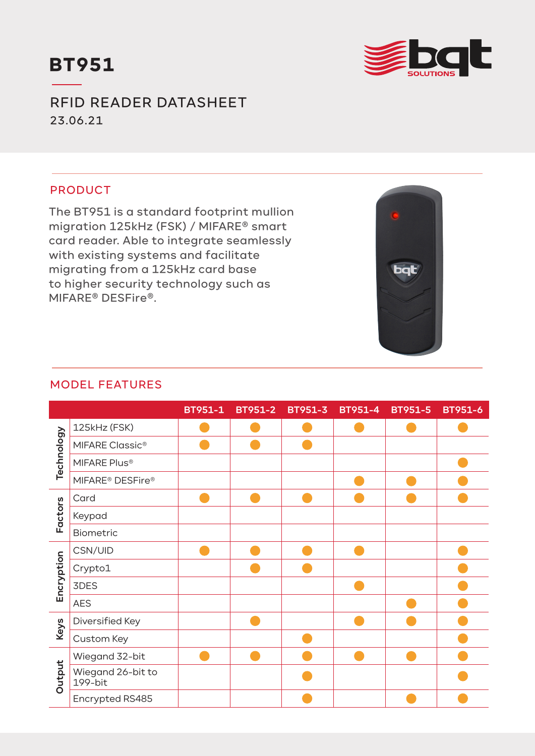



RFID READER DATASHEET 23.06.21

## PRODUCT

The BT951 is a standard footprint mullion migration 125kHz (FSK) / MIFARE® smart card reader. Able to integrate seamlessly with existing systems and facilitate migrating from a 125kHz card base to higher security technology such as MIFARE® DESFire®.



## MODEL FEATURES

|            |                                          | BT951-1 | <b>BT951-2</b> | <b>BT951-3</b> | BT951-4 | <b>BT951-5</b> | <b>BT951-6</b> |
|------------|------------------------------------------|---------|----------------|----------------|---------|----------------|----------------|
| Technology | 125kHz (FSK)                             |         |                |                |         |                |                |
|            | <b>MIFARE Classic®</b>                   |         |                |                |         |                |                |
|            | MIFARE Plus®                             |         |                |                |         |                |                |
|            | MIFARE <sup>®</sup> DESFire <sup>®</sup> |         |                |                |         |                |                |
| Factors    | Card                                     |         |                |                |         |                |                |
|            | Keypad                                   |         |                |                |         |                |                |
|            | Biometric                                |         |                |                |         |                |                |
| Encryption | CSN/UID                                  |         |                |                |         |                |                |
|            | Crypto1                                  |         |                |                |         |                |                |
|            | 3DES                                     |         |                |                |         |                |                |
|            | <b>AES</b>                               |         |                |                |         |                |                |
| Keys       | Diversified Key                          |         |                |                |         |                |                |
|            | Custom Key                               |         |                |                |         |                |                |
| Output     | Wiegand 32-bit                           |         |                |                |         |                |                |
|            | Wiegand 26-bit to<br>199-bit             |         |                |                |         |                |                |
|            | Encrypted RS485                          |         |                |                |         |                |                |